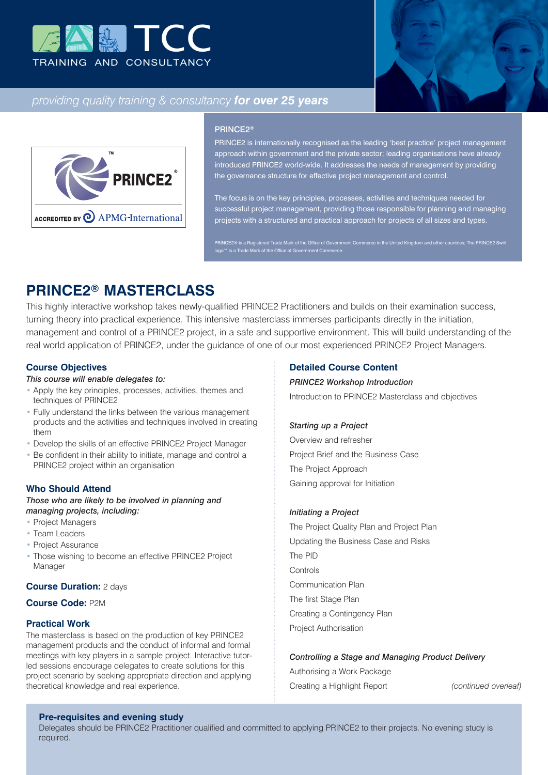



# *providing quality training & consultancy for over 25 years*



### PRINCE2®

PRINCE2 is internationally recognised as the leading 'best practice' project management approach within government and the private sector; leading organisations have already introduced PRINCE2 world-wide. It addresses the needs of management by providing the governance structure for effective project management and control.

The focus is on the key principles, processes, activities and techniques needed for successful project management, providing those responsible for planning and managing projects with a structured and practical approach for projects of all sizes and types.

PRINCE2® is a Registered Trade Mark of the Office of Government Commerce in the United Kingdom and other countries; The PRINCE2 Swirl logo™ is a Trade Mark of the Office of Government Commerce.

# **PRINCE2® MASTERCLASS**

This highly interactive workshop takes newly-qualified PRINCE2 Practitioners and builds on their examination success, turning theory into practical experience. This intensive masterclass immerses participants directly in the initiation, management and control of a PRINCE2 project, in a safe and supportive environment. This will build understanding of the real world application of PRINCE2, under the guidance of one of our most experienced PRINCE2 Project Managers.

### **Course Objectives**

### *This course will enable delegates to:*

- Apply the key principles, processes, activities, themes and techniques of PRINCE2
- Fully understand the links between the various management products and the activities and techniques involved in creating them
- Develop the skills of an effective PRINCE2 Project Manager
- Be confident in their ability to initiate, manage and control a PRINCE2 project within an organisation

### **Who Should Attend**

### *Those who are likely to be involved in planning and managing projects, including:*

- Project Managers
- Team Leaders
- Project Assurance
- Those wishing to become an effective PRINCE2 Project Manager

## **Course Duration:** 2 days

### **Course Code:** P2M

### **Practical Work**

The masterclass is based on the production of key PRINCE2 management products and the conduct of informal and formal meetings with key players in a sample project. Interactive tutorled sessions encourage delegates to create solutions for this project scenario by seeking appropriate direction and applying theoretical knowledge and real experience.

### **Detailed Course Content**

# *PRINCE2 Workshop Introduction* Introduction to PRINCE2 Masterclass and objectives

#### *Starting up a Project*

Overview and refresher Project Brief and the Business Case The Project Approach Gaining approval for Initiation

#### *Initiating a Project*

The Project Quality Plan and Project Plan Updating the Business Case and Risks The PID **Controls** Communication Plan The first Stage Plan Creating a Contingency Plan Project Authorisation

#### *Controlling a Stage and Managing Product Delivery*

Authorising a Work Package Creating a Highlight Report *(continued overleaf)*

# **Pre-requisites and evening study**

Delegates should be PRINCE2 Practitioner qualified and committed to applying PRINCE2 to their projects. No evening study is required.